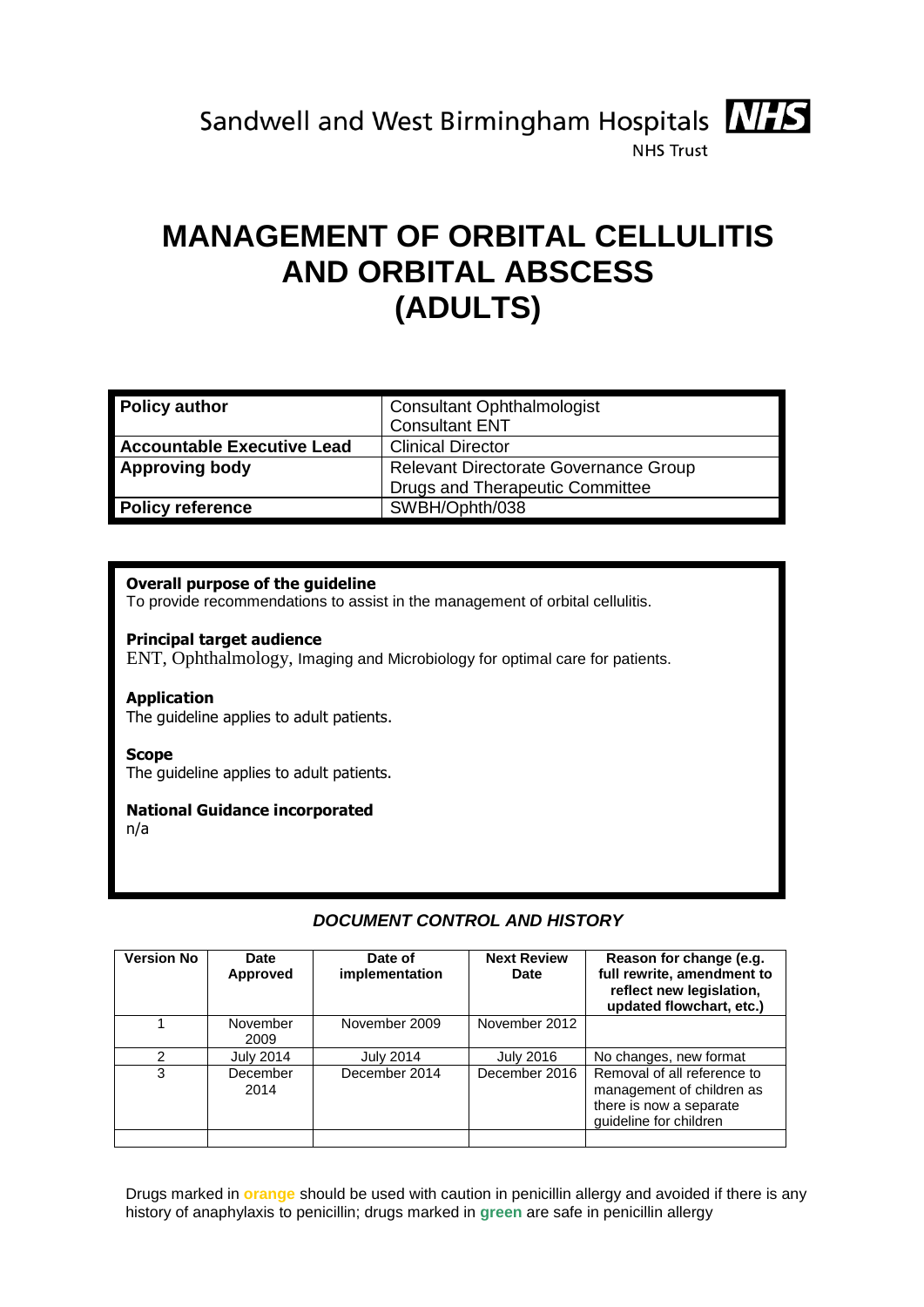# Sandwell and West Birmingham Hospitals **NHS**



**NHS Trust** 

## **MANAGEMENT OF ORBITAL CELLULITIS AND ORBITAL ABSCESS (ADULTS)**

| <b>Policy author</b>              | <b>Consultant Ophthalmologist</b><br><b>Consultant ENT</b> |  |
|-----------------------------------|------------------------------------------------------------|--|
| <b>Accountable Executive Lead</b> | <b>Clinical Director</b>                                   |  |
| <b>Approving body</b>             | <b>Relevant Directorate Governance Group</b>               |  |
|                                   | <b>Drugs and Therapeutic Committee</b>                     |  |
| <b>Policy reference</b>           | SWBH/Ophth/038                                             |  |

#### **Overall purpose of the guideline**

To provide recommendations to assist in the management of orbital cellulitis.

#### **Principal target audience**

ENT, Ophthalmology, Imaging and Microbiology for optimal care for patients.

#### **Application**

The guideline applies to adult patients.

#### **Scope**

The guideline applies to adult patients.

#### **National Guidance incorporated**

n/a

### *DOCUMENT CONTROL AND HISTORY*

| <b>Version No</b> | Date<br>Approved | Date of<br>implementation | <b>Next Review</b><br><b>Date</b> | Reason for change (e.g.<br>full rewrite, amendment to<br>reflect new legislation,<br>updated flowchart, etc.) |
|-------------------|------------------|---------------------------|-----------------------------------|---------------------------------------------------------------------------------------------------------------|
|                   | November<br>2009 | November 2009             | November 2012                     |                                                                                                               |
| 2                 | <b>July 2014</b> | <b>July 2014</b>          | <b>July 2016</b>                  | No changes, new format                                                                                        |
| 3                 | December<br>2014 | December 2014             | December 2016                     | Removal of all reference to<br>management of children as<br>there is now a separate<br>guideline for children |
|                   |                  |                           |                                   |                                                                                                               |

Drugs marked in **orange** should be used with caution in penicillin allergy and avoided if there is any history of anaphylaxis to penicillin; drugs marked in **green** are safe in penicillin allergy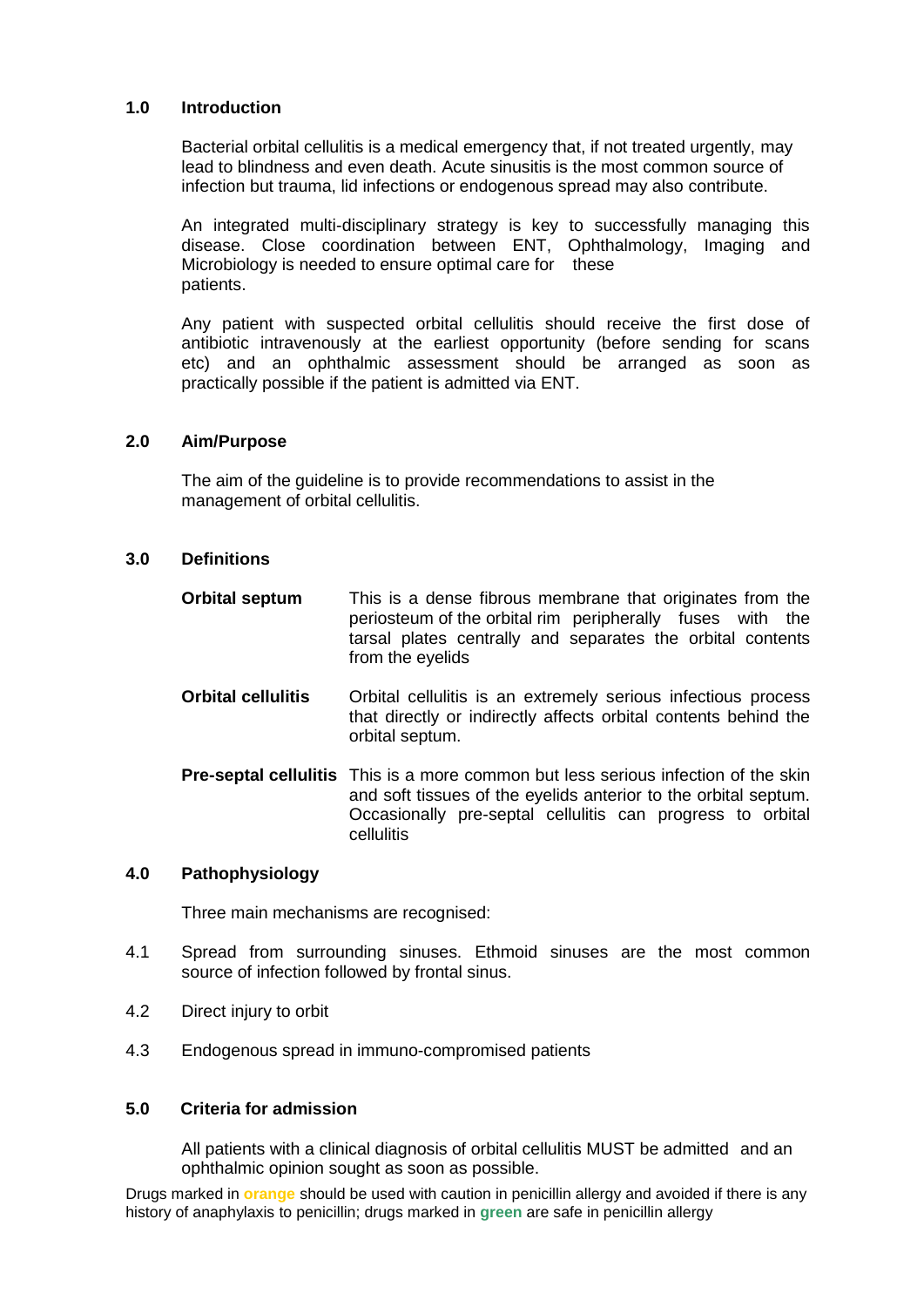#### **1.0 Introduction**

Bacterial orbital cellulitis is a medical emergency that, if not treated urgently, may lead to blindness and even death. Acute sinusitis is the most common source of infection but trauma, lid infections or endogenous spread may also contribute.

An integrated multi-disciplinary strategy is key to successfully managing this disease. Close coordination between ENT, Ophthalmology, Imaging and Microbiology is needed to ensure optimal care for these patients.

Any patient with suspected orbital cellulitis should receive the first dose of antibiotic intravenously at the earliest opportunity (before sending for scans etc) and an ophthalmic assessment should be arranged as soon as practically possible if the patient is admitted via ENT.

#### **2.0 Aim/Purpose**

The aim of the guideline is to provide recommendations to assist in the management of orbital cellulitis.

#### **3.0 Definitions**

- **Orbital septum** This is a dense fibrous membrane that originates from the periosteum of the orbital rim peripherally fuses with the tarsal plates centrally and separates the orbital contents from the eyelids
- **Orbital cellulitis** Orbital cellulitis is an extremely serious infectious process that directly or indirectly affects orbital contents behind the orbital septum.
- **Pre-septal cellulitis** This is a more common but less serious infection of the skin and soft tissues of the eyelids anterior to the orbital septum. Occasionally pre-septal cellulitis can progress to orbital cellulitis

#### **4.0 Pathophysiology**

Three main mechanisms are recognised:

- 4.1 Spread from surrounding sinuses. Ethmoid sinuses are the most common source of infection followed by frontal sinus.
- 4.2 Direct injury to orbit
- 4.3 Endogenous spread in immuno-compromised patients

#### **5.0 Criteria for admission**

All patients with a clinical diagnosis of orbital cellulitis MUST be admitted and an ophthalmic opinion sought as soon as possible.

Drugs marked in **orange** should be used with caution in penicillin allergy and avoided if there is any history of anaphylaxis to penicillin; drugs marked in **green** are safe in penicillin allergy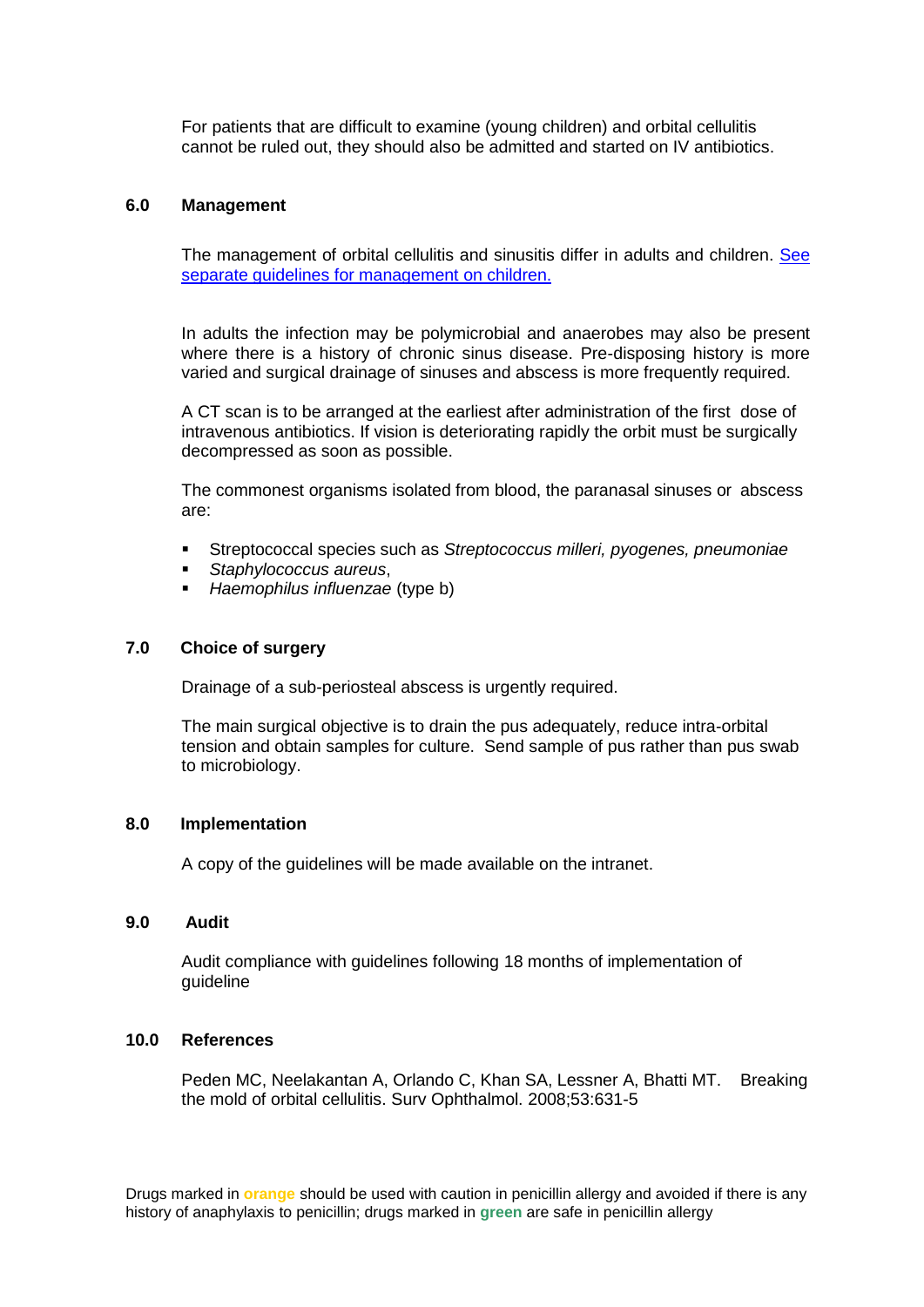For patients that are difficult to examine (young children) and orbital cellulitis cannot be ruled out, they should also be admitted and started on IV antibiotics.

#### **6.0 Management**

The management of orbital cellulitis and sinusitis differ in adults and children. [See](http://connect.swbh.nhs.uk/docs/policies/DOCUMENTS%20CLINICAL/Orbital%20Cellulitis%20and%20Abscess%20in%20Children%20(Ophth%20Paed%20039)%20(SWBH).pdf)  [separate guidelines for management on children.](http://connect.swbh.nhs.uk/docs/policies/DOCUMENTS%20CLINICAL/Orbital%20Cellulitis%20and%20Abscess%20in%20Children%20(Ophth%20Paed%20039)%20(SWBH).pdf)

In adults the infection may be polymicrobial and anaerobes may also be present where there is a history of chronic sinus disease. Pre-disposing history is more varied and surgical drainage of sinuses and abscess is more frequently required.

A CT scan is to be arranged at the earliest after administration of the first dose of intravenous antibiotics. If vision is deteriorating rapidly the orbit must be surgically decompressed as soon as possible.

The commonest organisms isolated from blood, the paranasal sinuses or abscess are:

- Streptococcal species such as *Streptococcus milleri, pyogenes, pneumoniae*
- *Staphylococcus aureus*,
- *Haemophilus influenzae* (type b)

#### **7.0 Choice of surgery**

Drainage of a sub-periosteal abscess is urgently required.

The main surgical objective is to drain the pus adequately, reduce intra-orbital tension and obtain samples for culture. Send sample of pus rather than pus swab to microbiology.

#### **8.0 Implementation**

A copy of the guidelines will be made available on the intranet.

#### **9.0 Audit**

Audit compliance with guidelines following 18 months of implementation of guideline

#### **10.0 References**

Peden MC, Neelakantan A, Orlando C, Khan SA, Lessner A, Bhatti MT. Breaking the mold of orbital cellulitis. Surv Ophthalmol. 2008;53:631-5